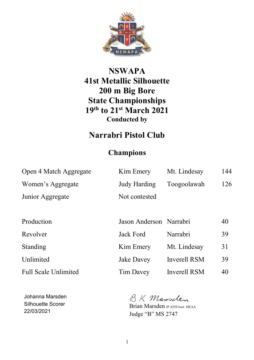

## **NSWAPA 41st Metallic Silhouette 200 m Big Bore State Championships 19th to 21st March 2021 Conducted by**

# **Narrabri Pistol Club**

### **Champions**

| Open 4 Match Aggregate      | Kim Emery               | Mt. Lindesay        | 144 |
|-----------------------------|-------------------------|---------------------|-----|
| Women's Aggregate           | Judy Harding            | Toogoolawah         | 126 |
| Junior Aggregate            | Not contested           |                     |     |
|                             |                         |                     |     |
| Production                  | Jason Anderson Narrabri |                     | 40  |
| Revolver                    | <b>Jack Ford</b>        | Narrabri            | 39  |
| <b>Standing</b>             | Kim Emery               | Mt. Lindesay        | 31  |
| Unlimited                   | <b>Jake Davey</b>       | Inverell RSM        | 39  |
| <b>Full Scale Unlimited</b> | Tim Davey               | <b>Inverell RSM</b> | 40  |

Johanna Marsden Silhouette Scorer 22/03/2021

BK Mansclen

Brian Marsden JP AFIEAust. MEAA Judge "B" MS 2747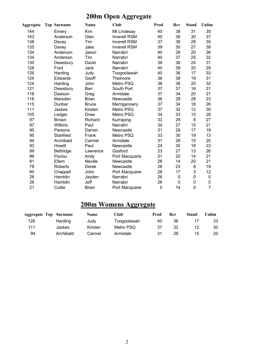# **200m Open Aggregate**

| Aggregate | <b>Top Surname</b> | Name         | Club                | Prod | <b>Rev</b> | <b>Stand</b> | Unlim          |
|-----------|--------------------|--------------|---------------------|------|------------|--------------|----------------|
| 144       | Emery              | Kim          | Mt Lindesay         | 40   | 38         | 31           | 35             |
| 143       | Anderson           | Glen         | <b>Inverell RSM</b> | 40   | 36         | 30           | 37             |
| 138       | Davey              | Tim          | <b>Inverell RSM</b> | 37   | 38         | 28           | 35             |
| 135       | Davey              | Jake         | <b>Inverell RSM</b> | 39   | 30         | 27           | 39             |
| 134       | Anderson           | Jason        | Narrabri            | 40   | 38         | 20           | 36             |
| 134       | Anderson           | Tim          | Narrabri            | 40   | 37         | 25           | 32             |
| 130       | Dewsbury           | David        | Narrabri            | 39   | 36         | 24           | 31             |
| 128       | Ford               | Jack         | Narrabri            | 40   | 39         | 20           | 29             |
| 126       | Harding            | Judy         | Toogoolawah         | 40   | 36         | 17           | 33             |
| 124       | <b>Edwards</b>     | Geoff        | Thelmore            | 36   | 38         | 19           | 31             |
| 124       | Harding            | John         | Metro PSQ           | 36   | 36         | 20           | 32             |
| 121       | Dewsbury           | Ben          | South Port          | 37   | 37         | 16           | 31             |
| 118       | Dawson             | Greg         | Armidale            | 37   | 34         | 20           | 27             |
| 116       | Marsden            | <b>Brian</b> | Newcastle           | 36   | 29         | 28           | 23             |
| 115       | Dunbar             | <b>Bruce</b> | Merriganowry        | 37   | 34         | 18           | 26             |
| 111       | Jackes             | Kirsten      | Metro PSQ           | 37   | 32         | 12           | 30             |
| 105       | Ledger             | Drew         | Metro PSQ           | 34   | 33         | 10           | 28             |
| 97        | <b>Brown</b>       | Richard      | Kurrajong           | 33   | 29         | 8            | 27             |
| 97        | Wilkins            | Paul         | Narrabri            | 34   | 27         | 15           | 21             |
| 95        | Parsons            | Darren       | Newcastle           | 31   | 28         | 17           | 19             |
| 95        | Stanfield          | Frank        | Metro PSQ           | 33   | 30         | 19           | 13             |
| 94        | Archibald          | Carmel       | Armidale            | 31   | 28         | 15           | 20             |
| 93        | Howitt             | Paul         | Newcastle           | 24   | 30         | 16           | 23             |
| 89        | Bettridge          | Lawrence     | Gosford             | 23   | 27         | 13           | 26             |
| 86        | Pavlou             | Andy         | Port Macquarie      | 31   | 20         | 14           | 21             |
| 81        | Ellem              | Neville      | Newcastle           | 26   | 14         | 20           | 21             |
| 78        | Roberts            | Derek        | Newcastle           | 28   | 23         | 8            | 19             |
| 60        | Chappell           | John         | Port Macquarie      | 28   | 17         | 3            | 12             |
| 26        | Hamblin            | Jayden       | Narrabri            | 26   | 0          | 0            | 0              |
| 26        | Hamblin            | Jeff         | Narrabri            | 26   | 0          | 0            | 0              |
| 21        | Cutler             | <b>Brian</b> | Port Macquarie      | 0    | 14         | 0            | $\overline{7}$ |

### **200m Womens Aggregate**

| <b>Aggregate Top Surname</b> |           | <b>Name</b> | Club        | Prod | Rev | Stand | Unlim |
|------------------------------|-----------|-------------|-------------|------|-----|-------|-------|
| 126                          | Harding   | Judy        | Toogoolawah | 40   | 36  |       | 33    |
| 111                          | Jackes    | Kirsten     | Metro PSQ   | 37   | 32  | 12    | 30    |
| 94                           | Archibald | Carmel      | Armidale    | 31   | 28  | 15    | 20    |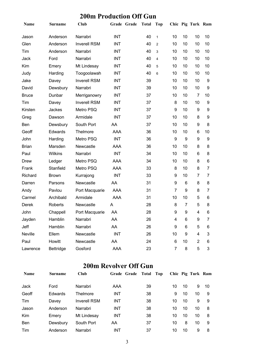#### **200m Production Off Gun**

| Name         | <b>Surname</b>   | <b>Club</b>         |            | Grade Grade | <b>Total</b> | Top            |                |    | Chic Pig Turk Ram |    |
|--------------|------------------|---------------------|------------|-------------|--------------|----------------|----------------|----|-------------------|----|
| Jason        | Anderson         | Narrabri            | <b>INT</b> |             | 40           | $\mathbf{1}$   | 10             | 10 | 10                | 10 |
| Glen         | Anderson         | <b>Inverell RSM</b> | <b>INT</b> |             | 40           | $\overline{2}$ | 10             | 10 | 10                | 10 |
| Tim          | Anderson         | Narrabri            | <b>INT</b> |             | 40           | 3              | 10             | 10 | 10                | 10 |
| Jack         | Ford             | Narrabri            | <b>INT</b> |             | 40           | 4              | 10             | 10 | 10                | 10 |
| Kim          | Emery            | Mt Lindesay         | <b>INT</b> |             | 40           | 5              | 10             | 10 | 10                | 10 |
| Judy         | Harding          | Toogoolawah         | <b>INT</b> |             | 40           | 6              | 10             | 10 | 10                | 10 |
| Jake         | Davey            | <b>Inverell RSM</b> | <b>INT</b> |             | 39           |                | 10             | 10 | 10                | 9  |
| David        | Dewsbury         | Narrabri            | <b>INT</b> |             | 39           |                | 10             | 10 | 10                | 9  |
| <b>Bruce</b> | Dunbar           | Merriganowry        | <b>INT</b> |             | 37           |                | 10             | 10 | $\overline{7}$    | 10 |
| Tim          | Davey            | <b>Inverell RSM</b> | <b>INT</b> |             | 37           |                | 8              | 10 | 10                | 9  |
| Kirsten      | Jackes           | Metro PSQ           | <b>INT</b> |             | 37           |                | 9              | 10 | 9                 | 9  |
| Greg         | Dawson           | Armidale            | <b>INT</b> |             | 37           |                | 10             | 10 | 8                 | 9  |
| Ben          | Dewsbury         | South Port          | AA         |             | 37           |                | 10             | 10 | 9                 | 8  |
| Geoff        | Edwards          | Thelmore            | <b>AAA</b> |             | 36           |                | 10             | 10 | 6                 | 10 |
| John         | Harding          | Metro PSQ           | <b>INT</b> |             | 36           |                | 9              | 9  | 9                 | 9  |
| <b>Brian</b> | Marsden          | Newcastle           | <b>AAA</b> |             | 36           |                | 10             | 10 | 8                 | 8  |
| Paul         | <b>Wilkins</b>   | Narrabri            | <b>INT</b> |             | 34           |                | 10             | 10 | 6                 | 8  |
| <b>Drew</b>  | Ledger           | Metro PSQ           | <b>AAA</b> |             | 34           |                | 10             | 10 | 8                 | 6  |
| Frank        | Stanfield        | Metro PSQ           | <b>AAA</b> |             | 33           |                | 8              | 10 | 8                 | 7  |
| Richard      | <b>Brown</b>     | Kurrajong           | <b>INT</b> |             | 33           |                | 9              | 10 | $\overline{7}$    | 7  |
| Darren       | Parsons          | Newcastle           | AA         |             | 31           |                | 9              | 6  | 8                 | 8  |
| Andy         | Pavlou           | Port Macquarie      | <b>AAA</b> |             | 31           |                | $\overline{7}$ | 9  | 8                 | 7  |
| Carmel       | Archibald        | Armidale            | <b>AAA</b> |             | 31           |                | 10             | 10 | 5                 | 6  |
| Derek        | Roberts          | Newcastle           | A          |             | 28           |                | 8              | 7  | 5                 | 8  |
| John         | Chappell         | Port Macquarie      | AA         |             | 28           |                | 9              | 9  | 4                 | 6  |
| Jayden       | Hamblin          | Narrabri            | AA         |             | 26           |                | 4              | 6  | 9                 | 7  |
| Jeff         | Hamblin          | Narrabri            | AA         |             | 26           |                | 9              | 6  | 5                 | 6  |
| Neville      | Ellem            | Newcastle           | <b>INT</b> |             | 26           |                | 10             | 9  | 4                 | 3  |
| Paul         | Howitt           | Newcastle           | AA         |             | 24           |                | 6              | 10 | $\overline{2}$    | 6  |
| Lawrence     | <b>Bettridge</b> | Gosford             | AAA        |             | 23           |                | $\overline{7}$ | 8  | 5                 | 3  |

#### **200m Revolver Off Gun**

| <b>Name</b> | <b>Surname</b> | <b>Club</b>         | Grade Grade Total | Top |    |    | Chic Pig Turk Ram |    |
|-------------|----------------|---------------------|-------------------|-----|----|----|-------------------|----|
| Jack        | Ford           | Narrabri            | AAA               | 39  | 10 | 10 | 9                 | 10 |
| Geoff       | Edwards        | Thelmore            | INT               | 38  | 9  | 10 | 10                | 9  |
| Tim         | Davey          | <b>Inverell RSM</b> | INT               | 38  | 10 | 10 | 9                 | 9  |
| Jason       | Anderson       | Narrabri            | <b>INT</b>        | 38  | 10 | 10 | 10                | 8  |
| <b>Kim</b>  | Emery          | Mt Lindesay         | <b>INT</b>        | 38  | 10 | 10 | 10                | 8  |
| Ben         | Dewsbury       | South Port          | AA                | 37  | 10 | 8  | 10                | 9  |
| Tim         | Anderson       | Narrabri            | INT               | 37  | 10 | 10 | 9                 | 8  |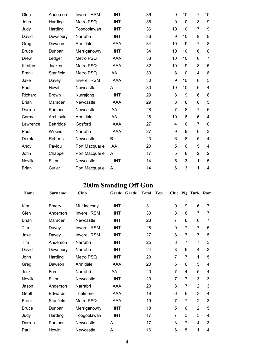| Glen         | Anderson       | <b>Inverell RSM</b> | <b>INT</b> | 36 | 9              | 10 | $\overline{7}$ | 10             |
|--------------|----------------|---------------------|------------|----|----------------|----|----------------|----------------|
| John         | Harding        | Metro PSQ           | <b>INT</b> | 36 | 9              | 10 | 8              | 9              |
| Judy         | Harding        | Toogoolawah         | <b>INT</b> | 36 | 10             | 10 | $\overline{7}$ | 9              |
| David        | Dewsbury       | Narrabri            | <b>INT</b> | 36 | 9              | 10 | 9              | 8              |
| Greg         | Dawson         | Armidale            | AAA        | 34 | 10             | 9  | $\overline{7}$ | 8              |
| <b>Bruce</b> | Dunbar         | Merriganowry        | <b>INT</b> | 34 | 10             | 10 | 6              | 8              |
| <b>Drew</b>  | Ledger         | Metro PSQ           | <b>AAA</b> | 33 | 10             | 10 | 6              | 7              |
| Kirsten      | Jackes         | Metro PSQ           | <b>AAA</b> | 32 | 10             | 9  | 8              | 5              |
| Frank        | Stanfield      | Metro PSQ           | AA         | 30 | 8              | 10 | 4              | 8              |
| Jake         | Davey          | <b>Inverell RSM</b> | AAA        | 30 | 9              | 10 | 6              | 5              |
| Paul         | Howitt         | Newcastle           | A          | 30 | 10             | 10 | 6              | 4              |
| Richard      | <b>Brown</b>   | Kurrajong           | <b>INT</b> | 29 | 8              | 9  | 6              | 6              |
| <b>Brian</b> | Marsden        | Newcastle           | AAA        | 29 | 8              | 8  | 8              | 5              |
| Darren       | Parsons        | Newcastle           | AA         | 28 | $\overline{7}$ | 8  | $\overline{7}$ | 6              |
| Carmel       | Archibald      | Armidale            | AA         | 28 | 10             | 8  | 6              | 4              |
| Lawrence     | Bettridge      | Gosford             | <b>AAA</b> | 27 | 4              | 6  | $\overline{7}$ | 10             |
| Paul         | <b>Wilkins</b> | Narrabri            | <b>AAA</b> | 27 | 9              | 9  | 6              | 3              |
| Derek        | <b>Roberts</b> | Newcastle           | B          | 23 | 6              | 8  | 5              | 4              |
| Andy         | Pavlou         | Port Macquarie      | AA         | 20 | 5              | 6  | 5              | 4              |
| John         | Chappell       | Port Macquarie      | A          | 17 | 5              | 8  | $\overline{2}$ | $\overline{2}$ |
| Neville      | Ellem          | Newcastle           | <b>INT</b> | 14 | 5              | 3  | 1              | 5              |
| <b>Brian</b> | Cutler         | Port Macquarie      | A          | 14 | 6              | 3  | 1              | 4              |

## **200m Standing Off Gun**

| Name           | Surname   | <b>Club</b>         |            | Grade Grade | <b>Total</b> | <b>Top</b> |                |                | Chic Pig Turk Ram       |   |
|----------------|-----------|---------------------|------------|-------------|--------------|------------|----------------|----------------|-------------------------|---|
| Kim            | Emery     | Mt Lindesay         | <b>INT</b> |             | 31           |            | 9              | 9              | 6                       | 7 |
| Glen           | Anderson  | <b>Inverell RSM</b> | <b>INT</b> |             | 30           |            | 8              | 8              | $\overline{7}$          | 7 |
| <b>Brian</b>   | Marsden   | Newcastle           | <b>INT</b> |             | 28           |            | $\overline{7}$ | 8              | 6                       | 7 |
| Tim            | Davey     | <b>Inverell RSM</b> | <b>INT</b> |             | 28           |            | 9              | $\overline{7}$ | $\overline{7}$          | 5 |
| Jake           | Davey     | <b>Inverell RSM</b> | INT        |             | 27           |            | 8              | $\overline{7}$ | $\overline{7}$          | 5 |
| Tim            | Anderson  | Narrabri            | <b>INT</b> |             | 25           |            | 8              | $\overline{7}$ | $\overline{7}$          | 3 |
| David          | Dewsbury  | Narrabri            | INT        |             | 24           |            | 8              | 9              | $\overline{\mathbf{4}}$ | 3 |
| John           | Harding   | Metro PSQ           | <b>INT</b> |             | 20           |            | 7              | $\overline{7}$ | 1                       | 5 |
| Greg           | Dawson    | Armidale            | AAA        |             | 20           |            | 5              | 6              | 5                       | 4 |
| Jack           | Ford      | Narrabri            | AA         |             | 20           |            | 7              | 4              | 5                       | 4 |
| <b>Neville</b> | Ellem     | Newcastle           | <b>INT</b> |             | 20           |            | 7              | $\overline{7}$ | 3                       | 3 |
| Jason          | Anderson  | Narrabri            | <b>AAA</b> |             | 20           |            | 8              | $\overline{7}$ | $\overline{2}$          | 3 |
| Geoff          | Edwards   | Thelmore            | AAA        |             | 19           |            | $6\phantom{1}$ | 6              | 3                       | 4 |
| Frank          | Stanfield | Metro PSQ           | AAA        |             | 19           |            | 7              | $\overline{7}$ | $\overline{2}$          | 3 |
| <b>Bruce</b>   | Dunbar    | Merriganowry        | <b>INT</b> |             | 18           |            | 5              | 6              | $\overline{2}$          | 5 |
| Judy           | Harding   | Toogoolawah         | <b>INT</b> |             | 17           |            | $\overline{7}$ | 3              | 3                       | 4 |
| Darren         | Parsons   | Newcastle           | A          |             | 17           |            | 3              | $\overline{7}$ | $\overline{4}$          | 3 |
| Paul           | Howitt    | Newcastle           | A          |             | 16           |            | 6              | 5              | 1                       | 4 |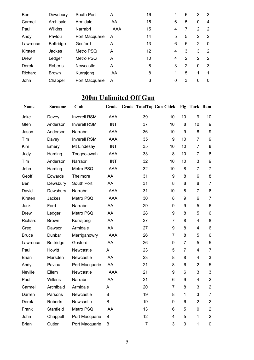| <b>Ben</b> | Dewsbury       | South Port     | A   | 16 | 4 | 6             | 3              | 3             |
|------------|----------------|----------------|-----|----|---|---------------|----------------|---------------|
| Carmel     | Archibald      | Armidale       | AA  | 15 | 6 | 5             | $\Omega$       | 4             |
| Paul       | <b>Wilkins</b> | Narrabri       | AAA | 15 | 4 | 7             | $\mathcal{P}$  | 2             |
| Andy       | Pavlou         | Port Macquarie | A   | 14 | 5 | 5             | $\mathcal{P}$  | $\mathcal{P}$ |
| Lawrence   | Bettridge      | Gosford        | A   | 13 | 6 | 5             | $\overline{2}$ | $\Omega$      |
| Kirsten    | Jackes         | Metro PSQ      | A   | 12 | 4 | 3             | 3              | 2             |
| Drew       | Ledger         | Metro PSQ      | A   | 10 | 4 | $\mathcal{P}$ | $\overline{2}$ | 2             |
| Derek      | Roberts        | Newcastle      | A   | 8  | 3 | $\mathcal{P}$ | $\Omega$       | 3             |
| Richard    | <b>Brown</b>   | Kurrajong      | AA  | 8  | 1 | 5             | 1              |               |
| John       | Chappell       | Port Macquarie | A   | 3  | 0 | 3             | 0              | $\Omega$      |

### **200m Unlimited Off Gun**

| <b>Name</b>  | <b>Surname</b> | Club                | Grade      | <b>Grade TotalTop Gun Chick</b> |                |                | Pig Turk Ram            |                |
|--------------|----------------|---------------------|------------|---------------------------------|----------------|----------------|-------------------------|----------------|
| Jake         | Davey          | <b>Inverell RSM</b> | <b>AAA</b> | 39                              | 10             | 10             | 9                       | 10             |
| Glen         | Anderson       | <b>Inverell RSM</b> | <b>INT</b> | 37                              | 10             | 8              | 10                      | 9              |
| Jason        | Anderson       | Narrabri            | <b>AAA</b> | 36                              | 10             | 9              | 8                       | 9              |
| Tim          | Davey          | <b>Inverell RSM</b> | <b>AAA</b> | 35                              | 9              | 10             | 7                       | $9\,$          |
| Kim          | Emery          | Mt Lindesay         | <b>INT</b> | 35                              | 10             | 10             | $\overline{7}$          | 8              |
| Judy         | Harding        | Toogoolawah         | <b>AAA</b> | 33                              | 8              | 10             | $\overline{7}$          | 8              |
| Tim          | Anderson       | Narrabri            | <b>INT</b> | 32                              | 10             | 10             | 3                       | $9\,$          |
| John         | Harding        | Metro PSQ           | <b>AAA</b> | 32                              | 10             | 8              | $\overline{7}$          | $\overline{7}$ |
| Geoff        | Edwards        | Thelmore            | AA         | 31                              | 9              | 8              | 6                       | 8              |
| Ben          | Dewsbury       | South Port          | AA         | 31                              | 8              | 8              | 8                       | $\overline{7}$ |
| David        | Dewsbury       | Narrabri            | <b>AAA</b> | 31                              | 10             | 8              | $\overline{7}$          | $\,6$          |
| Kirsten      | Jackes         | Metro PSQ           | <b>AAA</b> | 30                              | 8              | 9              | $6\phantom{1}$          | $\overline{7}$ |
| Jack         | Ford           | Narrabri            | AA         | 29                              | 9              | 9              | 5                       | $6\phantom{1}$ |
| Drew         | Ledger         | Metro PSQ           | AA         | 28                              | 9              | 8              | 5                       | $\,6$          |
| Richard      | <b>Brown</b>   | Kurrajong           | AA         | 27                              | $\overline{7}$ | 8              | $\overline{\mathbf{4}}$ | 8              |
| Greg         | Dawson         | Armidale            | AA         | 27                              | 9              | 8              | 4                       | $\,6$          |
| <b>Bruce</b> | Dunbar         | Merriganowry        | <b>AAA</b> | 26                              | $\overline{7}$ | 8              | 5                       | $\,6$          |
| Lawrence     | Bettridge      | Gosford             | AA         | 26                              | 9              | $\overline{7}$ | 5                       | 5              |
| Paul         | Howitt         | Newcastle           | A          | 23                              | 5              | $\overline{7}$ | 4                       | $\overline{7}$ |
| <b>Brian</b> | Marsden        | Newcastle           | AA         | 23                              | 8              | 8              | 4                       | $\mathbf{3}$   |
| Andy         | Pavlou         | Port Macquarie      | AA         | 21                              | 8              | 6              | $\overline{2}$          | 5              |
| Neville      | Ellem          | Newcastle           | AAA        | 21                              | 9              | 6              | 3                       | 3              |
| Paul         | Wilkins        | Narrabri            | AA         | 21                              | 6              | 9              | $\overline{\mathbf{4}}$ | $\overline{2}$ |
| Carmel       | Archibald      | Armidale            | Α          | 20                              | $\overline{7}$ | 8              | 3                       | $\overline{2}$ |
| Darren       | Parsons        | Newcastle           | B          | 19                              | 8              | $\mathbf{1}$   | 3                       | $\overline{7}$ |
| Derek        | <b>Roberts</b> | Newcastle           | B          | 19                              | 9              | 6              | $\overline{2}$          | $\overline{2}$ |
| Frank        | Stanfield      | Metro PSQ           | AA         | 13                              | 6              | 5              | $\pmb{0}$               | $\overline{2}$ |
| John         | Chappell       | Port Macquarie      | B          | 12                              | 4              | 5              | 1                       | $\overline{2}$ |
| <b>Brian</b> | Cutler         | Port Macquarie      | В          | $\overline{7}$                  | 3              | 3              | 1                       | $\pmb{0}$      |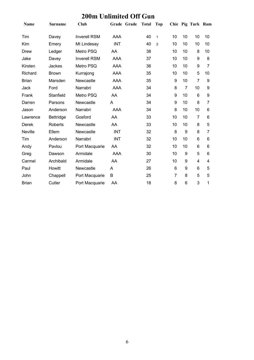|  | <b>200m Unlimited Off Gun</b> |  |
|--|-------------------------------|--|
|--|-------------------------------|--|

| <b>Name</b>  | Surname        | Club                | Grade Grade | <b>Total</b> | Top            |    |                | Chic Pig Turk Ram |    |
|--------------|----------------|---------------------|-------------|--------------|----------------|----|----------------|-------------------|----|
| Tim          | Davey          | <b>Inverell RSM</b> | AAA         | 40           | $\mathbf{1}$   | 10 | 10             | 10                | 10 |
| Kim          | Emery          | Mt Lindesay         | <b>INT</b>  | 40           | $\overline{2}$ | 10 | 10             | 10                | 10 |
| Drew         | Ledger         | Metro PSQ           | AA          | 38           |                | 10 | 10             | 8                 | 10 |
| Jake         | Davey          | <b>Inverell RSM</b> | <b>AAA</b>  | 37           |                | 10 | 10             | 9                 | 8  |
| Kirsten      | Jackes         | Metro PSQ           | <b>AAA</b>  | 36           |                | 10 | 10             | 9                 | 7  |
| Richard      | <b>Brown</b>   | Kurrajong           | AAA         | 35           |                | 10 | 10             | 5                 | 10 |
| <b>Brian</b> | Marsden        | Newcastle           | AAA         | 35           |                | 9  | 10             | $\overline{7}$    | 9  |
| Jack         | Ford           | Narrabri            | <b>AAA</b>  | 34           |                | 8  | $\overline{7}$ | 10                | 9  |
| Frank        | Stanfield      | Metro PSQ           | AA          | 34           |                | 9  | 10             | 6                 | 9  |
| Darren       | Parsons        | Newcastle           | A           | 34           |                | 9  | 10             | 8                 | 7  |
| Jason        | Anderson       | Narrabri            | <b>AAA</b>  | 34           |                | 8  | 10             | 10                | 6  |
| Lawrence     | Bettridge      | Gosford             | AA          | 33           |                | 10 | 10             | 7                 | 6  |
| Derek        | <b>Roberts</b> | Newcastle           | AA          | 33           |                | 10 | 10             | 8                 | 5  |
| Neville      | Ellem          | Newcastle           | <b>INT</b>  | 32           |                | 8  | 9              | 8                 | 7  |
| Tim          | Anderson       | Narrabri            | <b>INT</b>  | 32           |                | 10 | 10             | 6                 | 6  |
| Andy         | Pavlou         | Port Macquarie      | AA          | 32           |                | 10 | 10             | 6                 | 6  |
| Greg         | Dawson         | Armidale            | <b>AAA</b>  | 30           |                | 10 | 9              | 5                 | 6  |
| Carmel       | Archibald      | Armidale            | AA          | 27           |                | 10 | 9              | 4                 | 4  |
| Paul         | Howitt         | Newcastle           | A           | 26           |                | 6  | 9              | 6                 | 5  |
| John         | Chappell       | Port Macquarie      | B           | 25           |                | 7  | 8              | 5                 | 5  |
| <b>Brian</b> | Cutler         | Port Macquarie      | AA          | 18           |                | 8  | 6              | 3                 | 1  |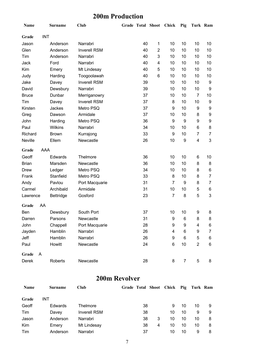#### **200m Production**

| Name         |            | <b>Surname</b>   | <b>Club</b>         | <b>Grade Total Shoot</b> |                | <b>Chick</b>   | Pig              | Turk Ram                |                |
|--------------|------------|------------------|---------------------|--------------------------|----------------|----------------|------------------|-------------------------|----------------|
| Grade        | <b>INT</b> |                  |                     |                          |                |                |                  |                         |                |
| Jason        |            | Anderson         | Narrabri            | 40                       | 1              | 10             | 10               | 10                      | 10             |
| Glen         |            | Anderson         | <b>Inverell RSM</b> | 40                       | $\overline{2}$ | 10             | 10               | 10                      | 10             |
| Tim          |            | Anderson         | Narrabri            | 40                       | 3              | 10             | 10               | 10                      | 10             |
| Jack         |            | Ford             | Narrabri            | 40                       | 4              | 10             | 10               | 10                      | 10             |
| Kim          |            | Emery            | Mt Lindesay         | 40                       | 5              | 10             | 10               | 10                      | 10             |
| Judy         |            | Harding          | Toogoolawah         | 40                       | 6              | 10             | 10               | 10                      | 10             |
| Jake         |            | Davey            | <b>Inverell RSM</b> | 39                       |                | 10             | 10               | 10                      | 9              |
| David        |            | Dewsbury         | Narrabri            | 39                       |                | 10             | 10               | 10                      | 9              |
| <b>Bruce</b> |            | Dunbar           | Merriganowry        | 37                       |                | 10             | 10               | $\overline{7}$          | 10             |
| Tim          |            | Davey            | <b>Inverell RSM</b> | 37                       |                | 8              | 10               | 10                      | 9              |
| Kirsten      |            | Jackes           | Metro PSQ           | 37                       |                | 9              | 10               | 9                       | 9              |
| Greg         |            | Dawson           | Armidale            | 37                       |                | 10             | 10               | 8                       | 9              |
| John         |            | Harding          | Metro PSQ           | 36                       |                | 9              | 9                | 9                       | 9              |
| Paul         |            | Wilkins          | Narrabri            | 34                       |                | 10             | 10               | 6                       | 8              |
| Richard      |            | <b>Brown</b>     | Kurrajong           | 33                       |                | 9              | 10               | 7                       | 7              |
| Neville      |            | Ellem            | Newcastle           | 26                       |                | 10             | $\boldsymbol{9}$ | $\overline{\mathbf{4}}$ | 3              |
| Grade        | AAA        |                  |                     |                          |                |                |                  |                         |                |
| Geoff        |            | Edwards          | Thelmore            | 36                       |                | 10             | 10               | 6                       | 10             |
| <b>Brian</b> |            | Marsden          | Newcastle           | 36                       |                | 10             | 10               | 8                       | 8              |
| <b>Drew</b>  |            | Ledger           | Metro PSQ           | 34                       |                | 10             | 10               | 8                       | 6              |
| Frank        |            | Stanfield        | Metro PSQ           | 33                       |                | 8              | 10               | 8                       | $\overline{7}$ |
| Andy         |            | Pavlou           | Port Macquarie      | 31                       |                | $\overline{7}$ | 9                | 8                       | 7              |
| Carmel       |            | Archibald        | Armidale            | 31                       |                | 10             | 10               | 5                       | 6              |
| Lawrence     |            | <b>Bettridge</b> | Gosford             | 23                       |                | $\overline{7}$ | 8                | 5                       | 3              |
| Grade        | AA         |                  |                     |                          |                |                |                  |                         |                |
| Ben          |            | Dewsbury         | South Port          | 37                       |                | 10             | 10               | 9                       | 8              |
| Darren       |            | Parsons          | Newcastle           | 31                       |                | 9              | 6                | 8                       | 8              |
| John         |            | Chappell         | Port Macquarie      | 28                       |                | 9              | 9                | $\overline{4}$          | 6              |
| Jayden       |            | Hamblin          | Narrabri            | 26                       |                | 4              | 6                | 9                       | 7              |
| Jeff         |            | Hamblin          | Narrabri            | 26                       |                | 9              | 6                | 5                       | 6              |
| Paul         |            | Howitt           | Newcastle           | 24                       |                | 6              | 10               | $\overline{2}$          | 6              |
| Grade        | A          |                  |                     |                          |                |                |                  |                         |                |
| Derek        |            | Roberts          | Newcastle           | 28                       |                | 8              | $\overline{7}$   | 5                       | 8              |

#### **200m Revolver**

| <b>Name</b> | <b>Surname</b> | Club                | Grade Total Shoot Chick Pig Turk Ram |         |    |    |    |   |
|-------------|----------------|---------------------|--------------------------------------|---------|----|----|----|---|
| Grade       | INT            |                     |                                      |         |    |    |    |   |
| Geoff       | Edwards        | Thelmore            |                                      | 38      | 9  | 10 | 10 | 9 |
| Tim         | Davey          | <b>Inverell RSM</b> |                                      | 38      | 10 | 10 | 9  | 9 |
| Jason       | Anderson       | Narrabri            |                                      | 38<br>3 | 10 | 10 | 10 | 8 |
| Kim         | Emery          | Mt Lindesay         |                                      | 38<br>4 | 10 | 10 | 10 | 8 |
| Tim         | Anderson       | Narrabri            |                                      | 37      | 10 | 10 | 9  | 8 |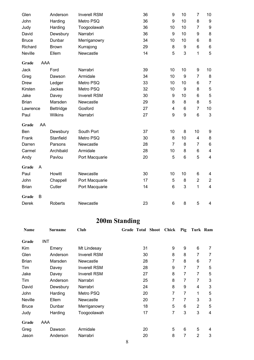| Glen         |     | Anderson         | <b>Inverell RSM</b> | 36 | 9              | 10 | $\overline{7}$           | 10                       |
|--------------|-----|------------------|---------------------|----|----------------|----|--------------------------|--------------------------|
| John         |     | Harding          | Metro PSQ           | 36 | 9              | 10 | 8                        | $\boldsymbol{9}$         |
| Judy         |     | Harding          | Toogoolawah         | 36 | 10             | 10 | $\overline{7}$           | $\boldsymbol{9}$         |
| David        |     | Dewsbury         | Narrabri            | 36 | 9              | 10 | 9                        | 8                        |
| <b>Bruce</b> |     | Dunbar           | Merriganowry        | 34 | 10             | 10 | 6                        | 8                        |
| Richard      |     | <b>Brown</b>     | Kurrajong           | 29 | 8              | 9  | $6\phantom{1}$           | $\,6\,$                  |
| Neville      |     | Ellem            | Newcastle           | 14 | 5              | 3  | 1                        | 5                        |
| Grade        | AAA |                  |                     |    |                |    |                          |                          |
| Jack         |     | Ford             | Narrabri            | 39 | 10             | 10 | 9                        | 10                       |
| Greg         |     | Dawson           | Armidale            | 34 | 10             | 9  | $\overline{7}$           | 8                        |
| <b>Drew</b>  |     | Ledger           | Metro PSQ           | 33 | 10             | 10 | 6                        | $\overline{7}$           |
| Kirsten      |     | Jackes           | Metro PSQ           | 32 | 10             | 9  | 8                        | $\mathbf 5$              |
| Jake         |     | Davey            | <b>Inverell RSM</b> | 30 | 9              | 10 | 6                        | $\mathbf 5$              |
| <b>Brian</b> |     | Marsden          | Newcastle           | 29 | 8              | 8  | 8                        | 5                        |
| Lawrence     |     | <b>Bettridge</b> | Gosford             | 27 | 4              | 6  | $\overline{7}$           | 10                       |
| Paul         |     | Wilkins          | Narrabri            | 27 | 9              | 9  | 6                        | $\mathbf{3}$             |
| Grade        | AA  |                  |                     |    |                |    |                          |                          |
| Ben          |     | Dewsbury         | South Port          | 37 | 10             | 8  | 10                       | 9                        |
| Frank        |     | Stanfield        | Metro PSQ           | 30 | 8              | 10 | $\overline{\mathcal{A}}$ | 8                        |
| Darren       |     | Parsons          | Newcastle           | 28 | $\overline{7}$ | 8  | $\overline{7}$           | $\,6$                    |
| Carmel       |     | Archibald        | Armidale            | 28 | 10             | 8  | 6                        | $\overline{\mathcal{A}}$ |
| Andy         |     | Pavlou           | Port Macquarie      | 20 | 5              | 6  | 5                        | 4                        |
| Grade        | A   |                  |                     |    |                |    |                          |                          |
| Paul         |     | Howitt           | Newcastle           | 30 | 10             | 10 | 6                        | 4                        |
| John         |     | Chappell         | Port Macquarie      | 17 | 5              | 8  | $\overline{2}$           | $\overline{2}$           |
| <b>Brian</b> |     | Cutler           | Port Macquarie      | 14 | 6              | 3  | 1                        | $\overline{\mathbf{4}}$  |
| Grade        | B   |                  |                     |    |                |    |                          |                          |
| Derek        |     | <b>Roberts</b>   | Newcastle           | 23 | 6              | 8  | 5                        | $\overline{\mathbf{4}}$  |

## **200m Standing**

| Name         | <b>Surname</b> | Club                | Grade Total Shoot | Chick | <b>Pig</b> | Turk Ram       |   |
|--------------|----------------|---------------------|-------------------|-------|------------|----------------|---|
| Grade        | <b>INT</b>     |                     |                   |       |            |                |   |
| Kim          | Emery          | Mt Lindesay         | 31                | 9     | 9          | 6              | 7 |
| Glen         | Anderson       | <b>Inverell RSM</b> | 30                | 8     | 8          | 7              | 7 |
| <b>Brian</b> | Marsden        | Newcastle           | 28                | 7     | 8          | 6              | 7 |
| Tim          | Davey          | <b>Inverell RSM</b> | 28                | 9     | 7          | 7              | 5 |
| Jake         | Davey          | <b>Inverell RSM</b> | 27                | 8     | 7          | 7              | 5 |
| Tim          | Anderson       | Narrabri            | 25                | 8     | 7          | 7              | 3 |
| David        | Dewsbury       | Narrabri            | 24                | 8     | 9          | 4              | 3 |
| John         | Harding        | Metro PSQ           | 20                | 7     | 7          | 1              | 5 |
| Neville      | Ellem          | Newcastle           | 20                | 7     | 7          | 3              | 3 |
| <b>Bruce</b> | Dunbar         | Merriganowry        | 18                | 5     | 6          | $\overline{2}$ | 5 |
| Judy         | Harding        | Toogoolawah         | 17                | 7     | 3          | 3              | 4 |
| Grade        | AAA            |                     |                   |       |            |                |   |
| Greg         | Dawson         | Armidale            | 20                | 5     | 6          | 5              | 4 |
| Jason        | Anderson       | Narrabri            | 20                | 8     | 7          | 2              | 3 |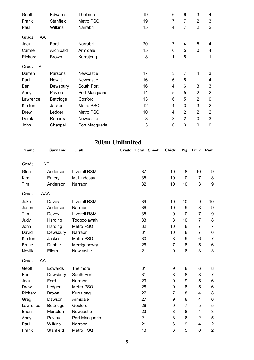| Geoff        |    | Edwards        | Thelmore       | 19 | 6 | 6              | 3              | 4              |
|--------------|----|----------------|----------------|----|---|----------------|----------------|----------------|
| Frank        |    | Stanfield      | Metro PSQ      | 19 | 7 | 7              | $\overline{2}$ | 3              |
| Paul         |    | <b>Wilkins</b> | Narrabri       | 15 | 4 | 7              | $\overline{2}$ | $\overline{2}$ |
| Grade        | AA |                |                |    |   |                |                |                |
| Jack         |    | Ford           | Narrabri       | 20 | 7 | 4              | 5              | 4              |
| Carmel       |    | Archibald      | Armidale       | 15 | 6 | 5              | 0              | 4              |
| Richard      |    | <b>Brown</b>   | Kurrajong      | 8  | 1 | 5              | 1              | 1              |
| Grade        | A  |                |                |    |   |                |                |                |
| Darren       |    | Parsons        | Newcastle      | 17 | 3 | 7              | 4              | 3              |
| Paul         |    | Howitt         | Newcastle      | 16 | 6 | 5              | 1              | 4              |
| Ben          |    | Dewsbury       | South Port     | 16 | 4 | 6              | 3              | 3              |
| Andy         |    | Pavlou         | Port Macquarie | 14 | 5 | 5              | $\overline{2}$ | $\overline{2}$ |
| Lawrence     |    | Bettridge      | Gosford        | 13 | 6 | 5              | $\overline{2}$ | $\pmb{0}$      |
| Kirsten      |    | Jackes         | Metro PSQ      | 12 | 4 | 3              | 3              | $\overline{2}$ |
| <b>Drew</b>  |    | Ledger         | Metro PSQ      | 10 | 4 | $\overline{2}$ | $\overline{2}$ | $\overline{2}$ |
| <b>Derek</b> |    | <b>Roberts</b> | Newcastle      | 8  | 3 | $\overline{2}$ | 0              | 3              |
| John         |    | Chappell       | Port Macquarie | 3  | 0 | 3              | 0              | $\mathbf 0$    |
|              |    |                |                |    |   |                |                |                |

### **200m Unlimited**

| <b>Name</b>    |            | <b>Surname</b>   | <b>Club</b>         | Grade | Total | <b>Shoot</b> | Chick            | Pig            | Turk Ram       |                  |
|----------------|------------|------------------|---------------------|-------|-------|--------------|------------------|----------------|----------------|------------------|
| Grade          | <b>INT</b> |                  |                     |       |       |              |                  |                |                |                  |
| Glen           |            | Anderson         | <b>Inverell RSM</b> |       | 37    |              | 10               | 8              | 10             | 9                |
| Kim            |            | Emery            | Mt Lindesay         |       | 35    |              | 10               | 10             | $\overline{7}$ | 8                |
| Tim            |            | Anderson         | Narrabri            |       | 32    |              | 10               | 10             | 3              | $\boldsymbol{9}$ |
| Grade          | AAA        |                  |                     |       |       |              |                  |                |                |                  |
| Jake           |            | Davey            | <b>Inverell RSM</b> |       | 39    |              | 10               | 10             | 9              | 10               |
| Jason          |            | Anderson         | Narrabri            |       | 36    |              | 10               | 9              | 8              | 9                |
| Tim            |            | Davey            | <b>Inverell RSM</b> |       | 35    |              | $\boldsymbol{9}$ | 10             | $\overline{7}$ | $\boldsymbol{9}$ |
| Judy           |            | Harding          | Toogoolawah         |       | 33    |              | 8                | 10             | $\overline{7}$ | 8                |
| John           |            | Harding          | Metro PSQ           |       | 32    |              | 10               | 8              | 7              | $\overline{7}$   |
| David          |            | Dewsbury         | Narrabri            |       | 31    |              | 10               | 8              | $\overline{7}$ | $\,6$            |
| Kirsten        |            | Jackes           | Metro PSQ           |       | 30    |              | 8                | 9              | 6              | $\overline{7}$   |
| <b>Bruce</b>   |            | Dunbar           | Merriganowry        |       | 26    |              | $\overline{7}$   | 8              | 5              | 6                |
| <b>Neville</b> |            | Ellem            | Newcastle           |       | 21    |              | 9                | 6              | 3              | 3                |
| Grade          | AA         |                  |                     |       |       |              |                  |                |                |                  |
| Geoff          |            | Edwards          | Thelmore            |       | 31    |              | 9                | 8              | 6              | 8                |
| Ben            |            | Dewsbury         | South Port          |       | 31    |              | 8                | 8              | 8              | $\overline{7}$   |
| Jack           |            | Ford             | Narrabri            |       | 29    |              | 9                | 9              | 5              | $\,6$            |
| <b>Drew</b>    |            | Ledger           | Metro PSQ           |       | 28    |              | 9                | 8              | 5              | $\,6\,$          |
| Richard        |            | <b>Brown</b>     | Kurrajong           |       | 27    |              | $\overline{7}$   | 8              | 4              | 8                |
| Greg           |            | Dawson           | Armidale            |       | 27    |              | 9                | 8              | 4              | $\,6\,$          |
| Lawrence       |            | <b>Bettridge</b> | Gosford             |       | 26    |              | 9                | $\overline{7}$ | 5              | $\mathbf 5$      |
| <b>Brian</b>   |            | Marsden          | Newcastle           |       | 23    |              | 8                | 8              | 4              | $\mathsf 3$      |
| Andy           |            | Pavlou           | Port Macquarie      |       | 21    |              | 8                | 6              | $\overline{2}$ | $\mathbf 5$      |
| Paul           |            | <b>Wilkins</b>   | Narrabri            |       | 21    |              | 6                | 9              | 4              | $\overline{c}$   |
| Frank          |            | Stanfield        | Metro PSQ           |       | 13    |              | 6                | 5              | $\mathbf 0$    | $\overline{2}$   |